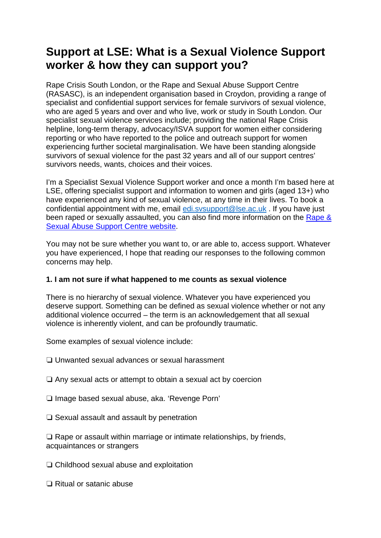# **Support at LSE: What is a Sexual Violence Support worker & how they can support you?**

Rape Crisis South London, or the Rape and Sexual Abuse Support Centre (RASASC), is an independent organisation based in Croydon, providing a range of specialist and confidential support services for female survivors of sexual violence, who are aged 5 years and over and who live, work or study in South London. Our specialist sexual violence services include; providing the national Rape Crisis helpline, long-term therapy, advocacy/ISVA support for women either considering reporting or who have reported to the police and outreach support for women experiencing further societal marginalisation. We have been standing alongside survivors of sexual violence for the past 32 years and all of our support centres' survivors needs, wants, choices and their voices.

I'm a Specialist Sexual Violence Support worker and once a month I'm based here at LSE, offering specialist support and information to women and girls (aged 13+) who have experienced any kind of sexual violence, at any time in their lives. To book a confidential appointment with me, email [edi.svsupport@lse.ac.uk](mailto:edi.svsupport@lse.ac.uk) . If you have just been raped or sexually assaulted, you can also find more information on the Rape & [Sexual Abuse Support Centre website.](http://www.rasasc.org.uk/)

You may not be sure whether you want to, or are able to, access support. Whatever you have experienced, I hope that reading our responses to the following common concerns may help.

## **1. I am not sure if what happened to me counts as sexual violence**

There is no hierarchy of sexual violence. Whatever you have experienced you deserve support. Something can be defined as sexual violence whether or not any additional violence occurred – the term is an acknowledgement that all sexual violence is inherently violent, and can be profoundly traumatic.

Some examples of sexual violence include:

- ❏ Unwanted sexual advances or sexual harassment
- ❏ Any sexual acts or attempt to obtain a sexual act by coercion
- ❏ Image based sexual abuse, aka. 'Revenge Porn'
- ❏ Sexual assault and assault by penetration

❏ Rape or assault within marriage or intimate relationships, by friends, acquaintances or strangers

❏ Childhood sexual abuse and exploitation

❏ Ritual or satanic abuse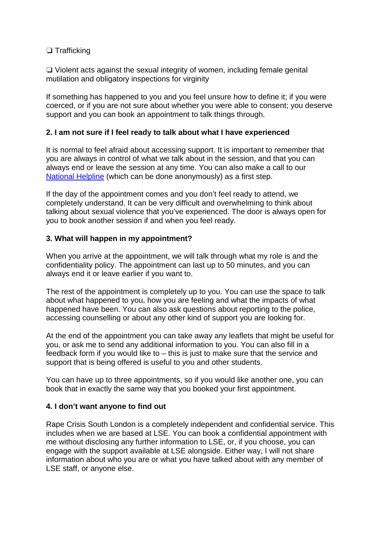## ❏ Trafficking

❏ Violent acts against the sexual integrity of women, including female genital mutilation and obligatory inspections for virginity

If something has happened to you and you feel unsure how to define it; if you were coerced, or if you are not sure about whether you were able to consent; you deserve support and you can book an appointment to talk things through.

### **2. I am not sure if I feel ready to talk about what I have experienced**

It is normal to feel afraid about accessing support. It is important to remember that you are always in control of what we talk about in the session, and that you can always end or leave the session at any time. You can also make a call to our [National Helpline](http://www.rasasc.org.uk/helpline/) (which can be done anonymously) as a first step.

If the day of the appointment comes and you don't feel ready to attend, we completely understand. It can be very difficult and overwhelming to think about talking about sexual violence that you've experienced. The door is always open for you to book another session if and when you feel ready.

#### **3. What will happen in my appointment?**

When you arrive at the appointment, we will talk through what my role is and the confidentiality policy. The appointment can last up to 50 minutes, and you can always end it or leave earlier if you want to.

The rest of the appointment is completely up to you. You can use the space to talk about what happened to you, how you are feeling and what the impacts of what happened have been. You can also ask questions about reporting to the police, accessing counselling or about any other kind of support you are looking for.

At the end of the appointment you can take away any leaflets that might be useful for you, or ask me to send any additional information to you. You can also fill in a feedback form if you would like to – this is just to make sure that the service and support that is being offered is useful to you and other students.

You can have up to three appointments, so if you would like another one, you can book that in exactly the same way that you booked your first appointment.

#### **4. I don't want anyone to find out**

Rape Crisis South London is a completely independent and confidential service. This includes when we are based at LSE. You can book a confidential appointment with me without disclosing any further information to LSE, or, if you choose, you can engage with the support available at LSE alongside. Either way, I will not share information about who you are or what you have talked about with any member of LSE staff, or anyone else.